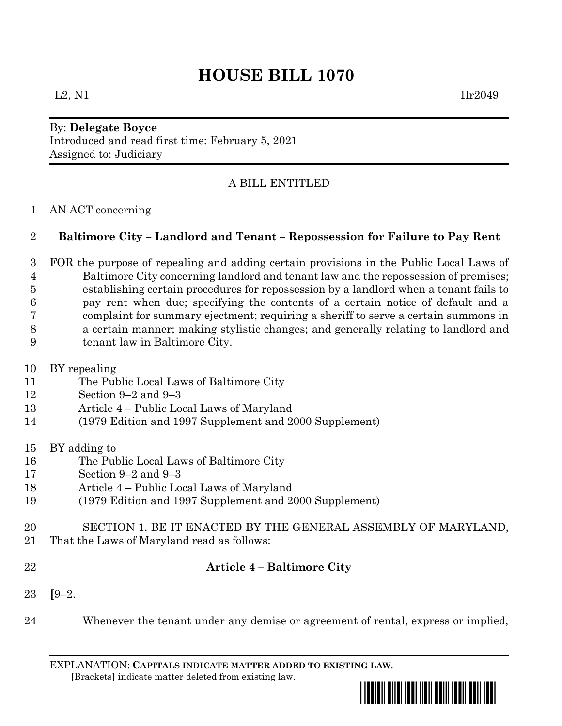# **HOUSE BILL 1070**

#### By: **Delegate Boyce** Introduced and read first time: February 5, 2021 Assigned to: Judiciary

## A BILL ENTITLED

### AN ACT concerning

### **Baltimore City – Landlord and Tenant – Repossession for Failure to Pay Rent**

- FOR the purpose of repealing and adding certain provisions in the Public Local Laws of Baltimore City concerning landlord and tenant law and the repossession of premises; establishing certain procedures for repossession by a landlord when a tenant fails to pay rent when due; specifying the contents of a certain notice of default and a complaint for summary ejectment; requiring a sheriff to serve a certain summons in a certain manner; making stylistic changes; and generally relating to landlord and tenant law in Baltimore City.
- BY repealing
- The Public Local Laws of Baltimore City
- Section 9–2 and 9–3
- Article 4 Public Local Laws of Maryland
- (1979 Edition and 1997 Supplement and 2000 Supplement)
- BY adding to
- The Public Local Laws of Baltimore City
- Section 9–2 and 9–3
- Article 4 Public Local Laws of Maryland
- (1979 Edition and 1997 Supplement and 2000 Supplement)
- SECTION 1. BE IT ENACTED BY THE GENERAL ASSEMBLY OF MARYLAND,
- That the Laws of Maryland read as follows:
- 

### **Article 4 – Baltimore City**

- **[**9–2.
- Whenever the tenant under any demise or agreement of rental, express or implied,

EXPLANATION: **CAPITALS INDICATE MATTER ADDED TO EXISTING LAW**.  **[**Brackets**]** indicate matter deleted from existing law.

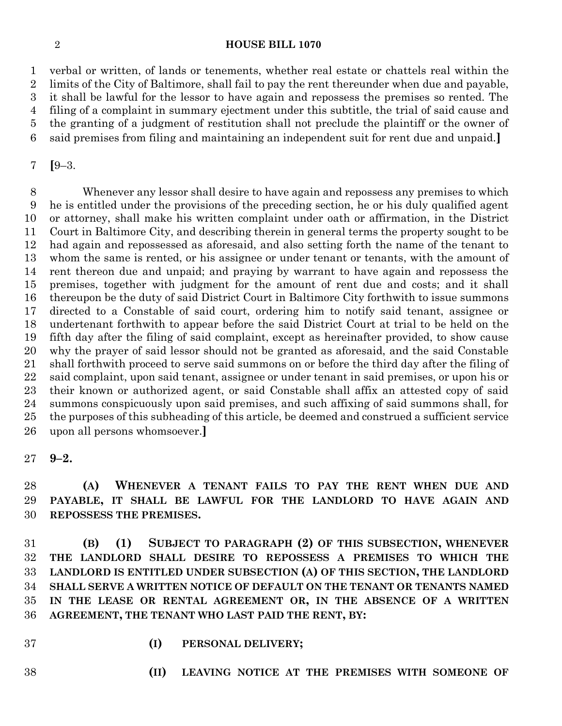#### **HOUSE BILL 1070**

 verbal or written, of lands or tenements, whether real estate or chattels real within the limits of the City of Baltimore, shall fail to pay the rent thereunder when due and payable, it shall be lawful for the lessor to have again and repossess the premises so rented. The filing of a complaint in summary ejectment under this subtitle, the trial of said cause and the granting of a judgment of restitution shall not preclude the plaintiff or the owner of

said premises from filing and maintaining an independent suit for rent due and unpaid.**]**

**[**9–3.

 Whenever any lessor shall desire to have again and repossess any premises to which he is entitled under the provisions of the preceding section, he or his duly qualified agent or attorney, shall make his written complaint under oath or affirmation, in the District Court in Baltimore City, and describing therein in general terms the property sought to be had again and repossessed as aforesaid, and also setting forth the name of the tenant to whom the same is rented, or his assignee or under tenant or tenants, with the amount of rent thereon due and unpaid; and praying by warrant to have again and repossess the premises, together with judgment for the amount of rent due and costs; and it shall thereupon be the duty of said District Court in Baltimore City forthwith to issue summons directed to a Constable of said court, ordering him to notify said tenant, assignee or undertenant forthwith to appear before the said District Court at trial to be held on the fifth day after the filing of said complaint, except as hereinafter provided, to show cause why the prayer of said lessor should not be granted as aforesaid, and the said Constable shall forthwith proceed to serve said summons on or before the third day after the filing of said complaint, upon said tenant, assignee or under tenant in said premises, or upon his or their known or authorized agent, or said Constable shall affix an attested copy of said summons conspicuously upon said premises, and such affixing of said summons shall, for the purposes of this subheading of this article, be deemed and construed a sufficient service upon all persons whomsoever.**]**

 **(A) WHENEVER A TENANT FAILS TO PAY THE RENT WHEN DUE AND PAYABLE, IT SHALL BE LAWFUL FOR THE LANDLORD TO HAVE AGAIN AND REPOSSESS THE PREMISES.**

 **(B) (1) SUBJECT TO PARAGRAPH (2) OF THIS SUBSECTION, WHENEVER THE LANDLORD SHALL DESIRE TO REPOSSESS A PREMISES TO WHICH THE LANDLORD IS ENTITLED UNDER SUBSECTION (A) OF THIS SECTION, THE LANDLORD SHALL SERVE A WRITTEN NOTICE OF DEFAULT ON THE TENANT OR TENANTS NAMED IN THE LEASE OR RENTAL AGREEMENT OR, IN THE ABSENCE OF A WRITTEN AGREEMENT, THE TENANT WHO LAST PAID THE RENT, BY:**

- 
- **(I) PERSONAL DELIVERY;**
- 
- **(II) LEAVING NOTICE AT THE PREMISES WITH SOMEONE OF**

**9–2.**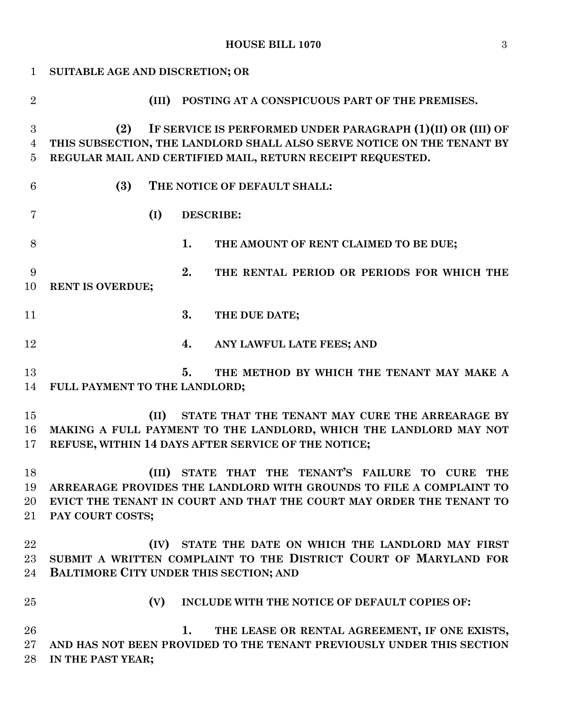# **HOUSE BILL 1070** 3

| $\mathbf{1}$   | SUITABLE AGE AND DISCRETION; OR                                        |
|----------------|------------------------------------------------------------------------|
| $\overline{2}$ | (III) POSTING AT A CONSPICUOUS PART OF THE PREMISES.                   |
| 3              | IF SERVICE IS PERFORMED UNDER PARAGRAPH (1)(II) OR (III) OF<br>(2)     |
| 4              | THIS SUBSECTION, THE LANDLORD SHALL ALSO SERVE NOTICE ON THE TENANT BY |
| 5              | REGULAR MAIL AND CERTIFIED MAIL, RETURN RECEIPT REQUESTED.             |
| 6              | (3)<br>THE NOTICE OF DEFAULT SHALL:                                    |
| 7              | (I)<br><b>DESCRIBE:</b>                                                |
| 8              | 1.<br>THE AMOUNT OF RENT CLAIMED TO BE DUE;                            |
| 9              | 2.<br>THE RENTAL PERIOD OR PERIODS FOR WHICH THE                       |
| 10             | RENT IS OVERDUE;                                                       |
| 11             | 3.<br>THE DUE DATE;                                                    |
| 12             | 4.<br>ANY LAWFUL LATE FEES; AND                                        |
| 13             | 5.<br>THE METHOD BY WHICH THE TENANT MAY MAKE A                        |
| 14             | FULL PAYMENT TO THE LANDLORD;                                          |
| 15             | (II)<br>STATE THAT THE TENANT MAY CURE THE ARREARAGE BY                |
| 16             | MAKING A FULL PAYMENT TO THE LANDLORD, WHICH THE LANDLORD MAY NOT      |
| 17             | REFUSE, WITHIN 14 DAYS AFTER SERVICE OF THE NOTICE;                    |
| 18             | (III) STATE THAT THE TENANT'S FAILURE TO CURE THE                      |
| 19             | ARREARAGE PROVIDES THE LANDLORD WITH GROUNDS TO FILE A COMPLAINT TO    |
| 20             | EVICT THE TENANT IN COURT AND THAT THE COURT MAY ORDER THE TENANT TO   |
| $21\,$         | PAY COURT COSTS;                                                       |
| 22             | STATE THE DATE ON WHICH THE LANDLORD MAY FIRST<br>(IV)                 |
| 23             | SUBMIT A WRITTEN COMPLAINT TO THE DISTRICT COURT OF MARYLAND FOR       |
| 24             | BALTIMORE CITY UNDER THIS SECTION; AND                                 |
| 25             | (V)<br>INCLUDE WITH THE NOTICE OF DEFAULT COPIES OF:                   |
| 26             | 1.<br>THE LEASE OR RENTAL AGREEMENT, IF ONE EXISTS,                    |
| 27             | AND HAS NOT BEEN PROVIDED TO THE TENANT PREVIOUSLY UNDER THIS SECTION  |
| 28             | IN THE PAST YEAR;                                                      |
|                |                                                                        |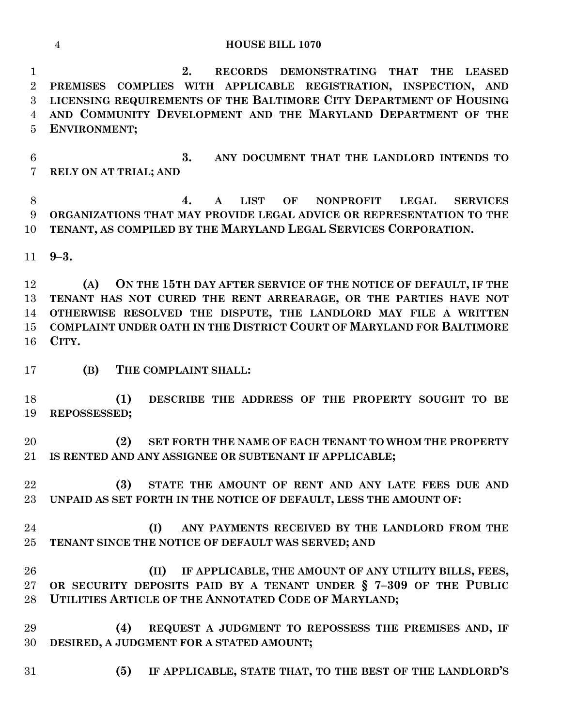**HOUSE BILL 1070**

 **2. RECORDS DEMONSTRATING THAT THE LEASED PREMISES COMPLIES WITH APPLICABLE REGISTRATION, INSPECTION, AND LICENSING REQUIREMENTS OF THE BALTIMORE CITY DEPARTMENT OF HOUSING AND COMMUNITY DEVELOPMENT AND THE MARYLAND DEPARTMENT OF THE ENVIRONMENT;**

 **3. ANY DOCUMENT THAT THE LANDLORD INTENDS TO RELY ON AT TRIAL; AND**

 **4. A LIST OF NONPROFIT LEGAL SERVICES ORGANIZATIONS THAT MAY PROVIDE LEGAL ADVICE OR REPRESENTATION TO THE TENANT, AS COMPILED BY THE MARYLAND LEGAL SERVICES CORPORATION.**

**9–3.**

 **(A) ON THE 15TH DAY AFTER SERVICE OF THE NOTICE OF DEFAULT, IF THE TENANT HAS NOT CURED THE RENT ARREARAGE, OR THE PARTIES HAVE NOT OTHERWISE RESOLVED THE DISPUTE, THE LANDLORD MAY FILE A WRITTEN COMPLAINT UNDER OATH IN THE DISTRICT COURT OF MARYLAND FOR BALTIMORE CITY.**

**(B) THE COMPLAINT SHALL:**

 **(1) DESCRIBE THE ADDRESS OF THE PROPERTY SOUGHT TO BE REPOSSESSED;**

 **(2) SET FORTH THE NAME OF EACH TENANT TO WHOM THE PROPERTY IS RENTED AND ANY ASSIGNEE OR SUBTENANT IF APPLICABLE;**

 **(3) STATE THE AMOUNT OF RENT AND ANY LATE FEES DUE AND UNPAID AS SET FORTH IN THE NOTICE OF DEFAULT, LESS THE AMOUNT OF:**

 **(I) ANY PAYMENTS RECEIVED BY THE LANDLORD FROM THE TENANT SINCE THE NOTICE OF DEFAULT WAS SERVED; AND**

 **(II) IF APPLICABLE, THE AMOUNT OF ANY UTILITY BILLS, FEES, OR SECURITY DEPOSITS PAID BY A TENANT UNDER § 7–309 OF THE PUBLIC UTILITIES ARTICLE OF THE ANNOTATED CODE OF MARYLAND;**

 **(4) REQUEST A JUDGMENT TO REPOSSESS THE PREMISES AND, IF DESIRED, A JUDGMENT FOR A STATED AMOUNT;**

**(5) IF APPLICABLE, STATE THAT, TO THE BEST OF THE LANDLORD'S**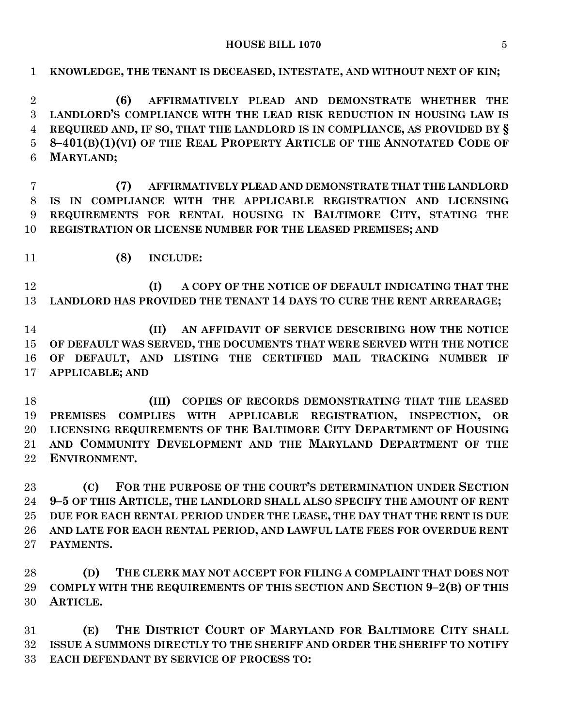**HOUSE BILL 1070** 5

**KNOWLEDGE, THE TENANT IS DECEASED, INTESTATE, AND WITHOUT NEXT OF KIN;**

 **(6) AFFIRMATIVELY PLEAD AND DEMONSTRATE WHETHER THE LANDLORD'S COMPLIANCE WITH THE LEAD RISK REDUCTION IN HOUSING LAW IS REQUIRED AND, IF SO, THAT THE LANDLORD IS IN COMPLIANCE, AS PROVIDED BY § 8–401(B)(1)(VI) OF THE REAL PROPERTY ARTICLE OF THE ANNOTATED CODE OF MARYLAND; (7) AFFIRMATIVELY PLEAD AND DEMONSTRATE THAT THE LANDLORD IS IN COMPLIANCE WITH THE APPLICABLE REGISTRATION AND LICENSING REQUIREMENTS FOR RENTAL HOUSING IN BALTIMORE CITY, STATING THE REGISTRATION OR LICENSE NUMBER FOR THE LEASED PREMISES; AND (8) INCLUDE: (I) A COPY OF THE NOTICE OF DEFAULT INDICATING THAT THE LANDLORD HAS PROVIDED THE TENANT 14 DAYS TO CURE THE RENT ARREARAGE; (II) AN AFFIDAVIT OF SERVICE DESCRIBING HOW THE NOTICE OF DEFAULT WAS SERVED, THE DOCUMENTS THAT WERE SERVED WITH THE NOTICE OF DEFAULT, AND LISTING THE CERTIFIED MAIL TRACKING NUMBER IF APPLICABLE; AND (III) COPIES OF RECORDS DEMONSTRATING THAT THE LEASED PREMISES COMPLIES WITH APPLICABLE REGISTRATION, INSPECTION, OR LICENSING REQUIREMENTS OF THE BALTIMORE CITY DEPARTMENT OF HOUSING AND COMMUNITY DEVELOPMENT AND THE MARYLAND DEPARTMENT OF THE ENVIRONMENT. (C) FOR THE PURPOSE OF THE COURT'S DETERMINATION UNDER SECTION 9–5 OF THIS ARTICLE, THE LANDLORD SHALL ALSO SPECIFY THE AMOUNT OF RENT** 

 **DUE FOR EACH RENTAL PERIOD UNDER THE LEASE, THE DAY THAT THE RENT IS DUE AND LATE FOR EACH RENTAL PERIOD, AND LAWFUL LATE FEES FOR OVERDUE RENT PAYMENTS.**

 **(D) THE CLERK MAY NOT ACCEPT FOR FILING A COMPLAINT THAT DOES NOT COMPLY WITH THE REQUIREMENTS OF THIS SECTION AND SECTION 9–2(B) OF THIS ARTICLE.**

 **(E) THE DISTRICT COURT OF MARYLAND FOR BALTIMORE CITY SHALL ISSUE A SUMMONS DIRECTLY TO THE SHERIFF AND ORDER THE SHERIFF TO NOTIFY EACH DEFENDANT BY SERVICE OF PROCESS TO:**